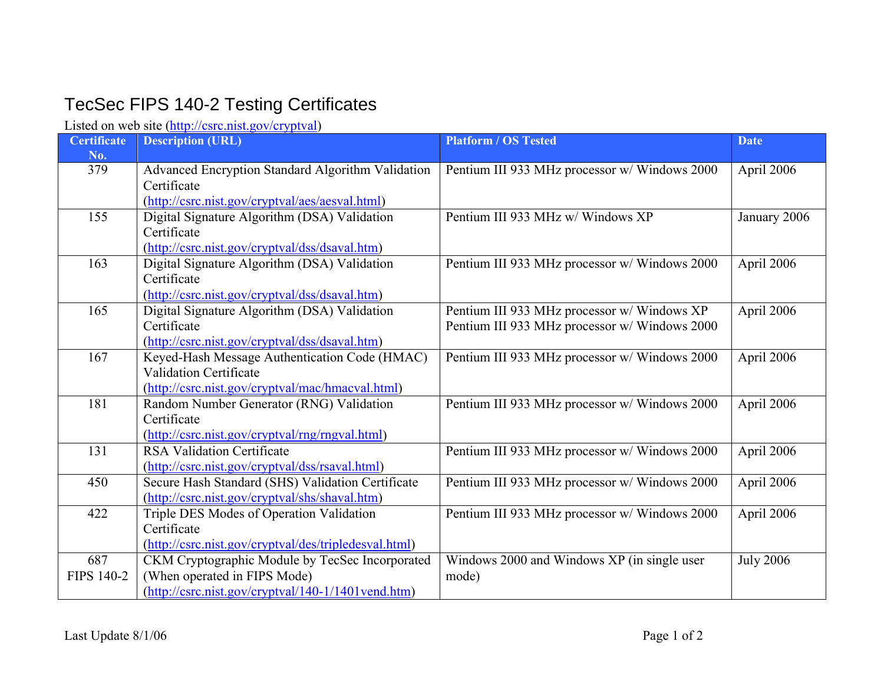## TecSec FIPS 140-2 Testing Certificates

Listed on web site [\(http://csrc.nist.gov/cryptval](http://csrc.nist.gov/cryptval))

| <b>Certificate</b><br>No. | <b>Description (URL)</b>                                         | <b>Platform / OS Tested</b>                   | <b>Date</b>      |
|---------------------------|------------------------------------------------------------------|-----------------------------------------------|------------------|
| 379                       | Advanced Encryption Standard Algorithm Validation<br>Certificate | Pentium III 933 MHz processor w/ Windows 2000 | April 2006       |
|                           | (http://csrc.nist.gov/cryptval/aes/aesval.html)                  |                                               |                  |
| 155                       | Digital Signature Algorithm (DSA) Validation<br>Certificate      | Pentium III 933 MHz w/ Windows XP             | January 2006     |
|                           | (http://csrc.nist.gov/cryptval/dss/dsaval.htm)                   |                                               |                  |
| 163                       | Digital Signature Algorithm (DSA) Validation                     | Pentium III 933 MHz processor w/ Windows 2000 | April 2006       |
|                           | Certificate                                                      |                                               |                  |
|                           | (http://csrc.nist.gov/cryptval/dss/dsaval.htm)                   |                                               |                  |
| 165                       | Digital Signature Algorithm (DSA) Validation                     | Pentium III 933 MHz processor w/ Windows XP   | April 2006       |
|                           | Certificate                                                      | Pentium III 933 MHz processor w/ Windows 2000 |                  |
|                           | (http://csrc.nist.gov/cryptval/dss/dsaval.htm)                   |                                               |                  |
| 167                       | Keyed-Hash Message Authentication Code (HMAC)                    | Pentium III 933 MHz processor w/ Windows 2000 | April 2006       |
|                           | Validation Certificate                                           |                                               |                  |
|                           | (http://csrc.nist.gov/cryptval/mac/hmacval.html)                 |                                               |                  |
| 181                       | Random Number Generator (RNG) Validation                         | Pentium III 933 MHz processor w/ Windows 2000 | April 2006       |
|                           | Certificate                                                      |                                               |                  |
|                           | (http://csrc.nist.gov/cryptval/rng/rngval.html)                  |                                               |                  |
| 131                       | <b>RSA Validation Certificate</b>                                | Pentium III 933 MHz processor w/ Windows 2000 | April 2006       |
|                           | (http://csrc.nist.gov/cryptval/dss/rsaval.html)                  |                                               |                  |
| 450                       | Secure Hash Standard (SHS) Validation Certificate                | Pentium III 933 MHz processor w/ Windows 2000 | April 2006       |
|                           | (http://csrc.nist.gov/cryptval/shs/shaval.htm)                   |                                               |                  |
| 422                       | Triple DES Modes of Operation Validation                         | Pentium III 933 MHz processor w/ Windows 2000 | April 2006       |
|                           | Certificate                                                      |                                               |                  |
|                           | (http://csrc.nist.gov/cryptval/des/tripledesval.html)            |                                               |                  |
| 687                       | CKM Cryptographic Module by TecSec Incorporated                  | Windows 2000 and Windows XP (in single user   | <b>July 2006</b> |
| FIPS 140-2                | (When operated in FIPS Mode)                                     | mode)                                         |                  |
|                           | (http://csrc.nist.gov/cryptval/140-1/1401vend.htm)               |                                               |                  |